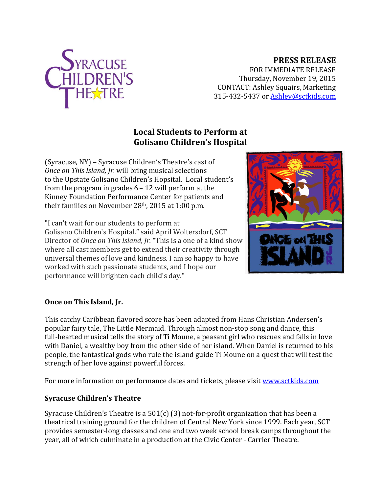

## **PRESS RELEASE**

FOR IMMEDIATE RELEASE Thursday, November 19, 2015 CONTACT: Ashley Squairs, Marketing 315-432-5437 or [Ashley@sctkids.com](mailto:Ashley@sctkids.com)

## **Local Students to Perform at Golisano Children's Hospital**

(Syracuse, NY) – Syracuse Children's Theatre's cast of *Once on This Island, Jr.* will bring musical selections to the Upstate Golisano Children's Hopsital. Local student's from the program in grades 6 – 12 will perform at the Kinney Foundation Performance Center for patients and their families on November 28th, 2015 at 1:00 p.m.

"I can't wait for our students to perform at Golisano Children's Hospital." said April Woltersdorf, SCT Director of *Once on This Island, Jr.* "This is a one of a kind show where all cast members get to extend their creativity through universal themes of love and kindness. I am so happy to have worked with such passionate students, and I hope our performance will brighten each child's day."



## **Once on This Island, Jr.**

This catchy Caribbean flavored score has been adapted from Hans Christian Andersen's popular fairy tale, The Little Mermaid. Through almost non-stop song and dance, this full-hearted musical tells the story of Ti Moune, a peasant girl who rescues and falls in love with Daniel, a wealthy boy from the other side of her island. When Daniel is returned to his people, the fantastical gods who rule the island guide Ti Moune on a quest that will test the strength of her love against powerful forces.

For more information on performance dates and tickets, please visit [www.sctkids.com](http://www.sctkids.com/)

## **Syracuse Children's Theatre**

Syracuse Children's Theatre is a  $501(c)$  (3) not-for-profit organization that has been a theatrical training ground for the children of Central New York since 1999. Each year, SCT provides semester-long classes and one and two week school break camps throughout the year, all of which culminate in a production at the Civic Center - Carrier Theatre.